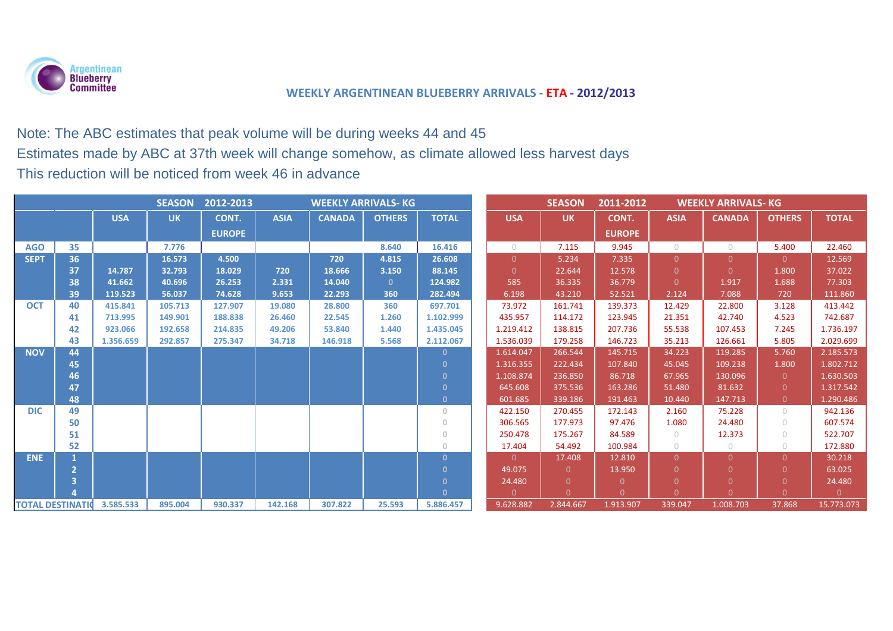

# Note: The ABC estimates that peak volume will be during weeks 44 and 45 Estimates made by ABC at 37th week will change somehow, as climate allowed less harvest days This reduction will be noticed from week 46 in advance

| <b>WEEKLY ARRIVALS- KG</b><br><b>SEASON</b><br>2012-2013 |    |            |           |               |             |               |               |                | <b>SEASON</b> | 2011-2012<br><b>WEEKLY ARRIVALS- KG</b> |               |                |               |               |              |
|----------------------------------------------------------|----|------------|-----------|---------------|-------------|---------------|---------------|----------------|---------------|-----------------------------------------|---------------|----------------|---------------|---------------|--------------|
|                                                          |    | <b>USA</b> | <b>UK</b> | CONT.         | <b>ASIA</b> | <b>CANADA</b> | <b>OTHERS</b> | <b>TOTAL</b>   | <b>USA</b>    | <b>UK</b>                               | CONT.         | <b>ASIA</b>    | <b>CANADA</b> | <b>OTHERS</b> | <b>TOTAL</b> |
|                                                          |    |            |           | <b>EUROPE</b> |             |               |               |                |               |                                         | <b>EUROPE</b> |                |               |               |              |
| <b>AGO</b>                                               | 35 |            | 7.776     |               |             |               | 8.640         | 16.416         | $\bigcirc$    | 7.115                                   | 9.945         | $\cup$         | $\bigcirc$    | 5.400         | 22.460       |
| <b>SEPT</b>                                              | 36 |            | 16.573    | 4.500         |             | 720           | 4.815         | 26.608         | $\Omega$      | 5.234                                   | 7.335         | $\overline{0}$ | $\Omega$      | $\Omega$      | 12.569       |
|                                                          | 37 | 14.787     | 32.793    | 18.029        | 720         | 18.666        | 3.150         | 88.145         | $\Omega$      | 22.644                                  | 12.578        | $\Omega$       | $\Omega$      | 1.800         | 37.022       |
|                                                          | 38 | 41.662     | 40.696    | 26.253        | 2.331       | 14.040        | $\mathbf{0}$  | 124.982        | 585           | 36.335                                  | 36.779        | $\Omega$       | 1.917         | 1.688         | 77.303       |
|                                                          | 39 | 119.523    | 56.037    | 74.628        | 9.653       | 22.293        | 360           | 282.494        | 6.198         | 43.210                                  | 52.521        | 2.124          | 7.088         | 720           | 111.860      |
| <b>OCT</b>                                               | 40 | 415.841    | 105.713   | 127.907       | 19.080      | 28,800        | 360           | 697.701        | 73.972        | 161.741                                 | 139.373       | 12.429         | 22.800        | 3.128         | 413.442      |
|                                                          | 41 | 713.995    | 149.901   | 188.838       | 26,460      | 22.545        | 1.260         | 1.102.999      | 435.957       | 114.172                                 | 123.945       | 21.351         | 42.740        | 4.523         | 742.687      |
|                                                          | 42 | 923.066    | 192.658   | 214.835       | 49.206      | 53.840        | 1.440         | 1.435.045      | 1.219.412     | 138.815                                 | 207.736       | 55.538         | 107.453       | 7.245         | 1.736.197    |
|                                                          | 43 | 1.356.659  | 292.857   | 275.347       | 34.718      | 146.918       | 5.568         | 2.112.067      | 1.536.039     | 179.258                                 | 146.723       | 35.213         | 126.661       | 5.805         | 2.029.699    |
| <b>NOV</b>                                               | 44 |            |           |               |             |               |               | $\Omega$       | 1.614.047     | 266.544                                 | 145.715       | 34.223         | 119.285       | 5.760         | 2.185.573    |
|                                                          | 45 |            |           |               |             |               |               | $\Omega$       | 1.316.355     | 222.434                                 | 107.840       | 45.045         | 109.238       | 1.800         | 1.802.712    |
|                                                          | 46 |            |           |               |             |               |               | $\Omega$       | 1.108.874     | 236.850                                 | 86.718        | 67.965         | 130.096       | $\theta$      | 1.630.503    |
|                                                          | 47 |            |           |               |             |               |               | $\mathbf{0}$   | 645.608       | 375.536                                 | 163.286       | 51.480         | 81.632        | $\Omega$      | 1.317.542    |
|                                                          | 48 |            |           |               |             |               |               | $\mathbf{0}$   | 601.685       | 339.186                                 | 191.463       | 10.440         | 147.713       | $\Omega$      | 1.290.486    |
| <b>DIC</b>                                               | 49 |            |           |               |             |               |               | $\overline{0}$ | 422.150       | 270.455                                 | 172.143       | 2.160          | 75.228        | $\bigcirc$    | 942.136      |
|                                                          | 50 |            |           |               |             |               |               | $\overline{0}$ | 306.565       | 177.973                                 | 97.476        | 1.080          | 24.480        | $\bigcap$     | 607.574      |
|                                                          | 51 |            |           |               |             |               |               | $\circ$        | 250.478       | 175.267                                 | 84.589        | $\circ$        | 12.373        | $\bigcap$     | 522.707      |
|                                                          | 52 |            |           |               |             |               |               | $\overline{0}$ | 17.404        | 54.492                                  | 100.984       | $\circ$        | $\circ$       | $\bigcirc$    | 172.880      |
| <b>ENE</b>                                               |    |            |           |               |             |               |               | $\Omega$       | $\Omega$      | 17.408                                  | 12.810        | 0.             | $\Omega$      | $\Omega$      | 30.218       |
|                                                          |    |            |           |               |             |               |               | $\mathbf{0}$   | 49.075        | $\Omega$                                | 13.950        |                | $\Omega$      | $\Omega$      | 63.025       |
|                                                          |    |            |           |               |             |               |               | $\mathbf{0}$   | 24.480        | $\Omega$                                | $\Omega$      |                | $\Omega$      | $\Omega$      | 24.480       |
|                                                          |    |            |           |               |             |               |               | $\mathbf{0}$   | $\Omega$      | $\Omega$                                | $\Omega$      |                | $\Omega$      | $\Omega$      | $\Omega$     |
| <b>TOTAL DESTINATION</b>                                 |    | 3.585.533  | 895.004   | 930.337       | 142.168     | 307.822       | 25.593        | 5.886.457      | 9.628.882     | 2.844.667                               | 1.913.907     | 339.047        | 1.008.703     | 37.868        | 15.773.073   |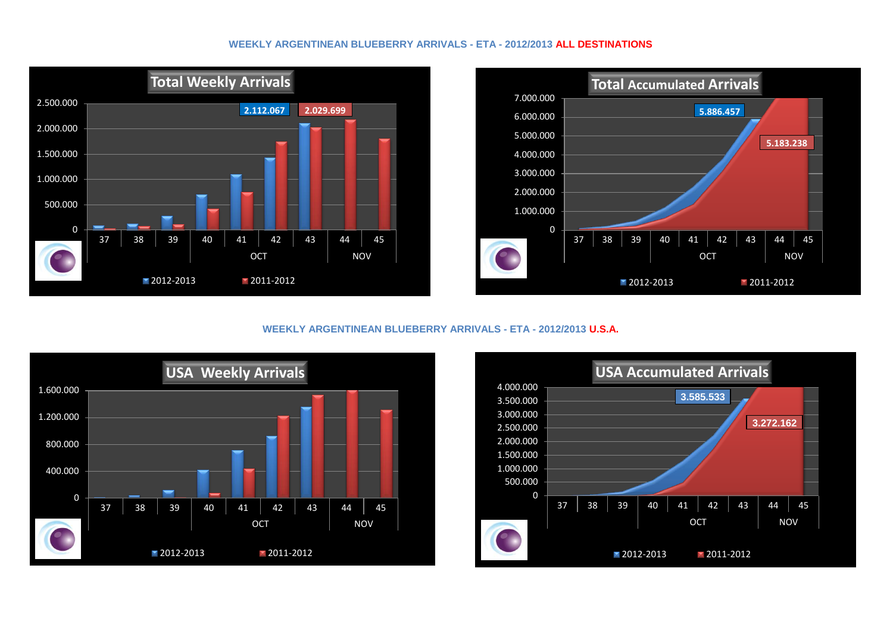#### **WEEKLY ARGENTINEAN BLUEBERRY ARRIVALS - ETA - 2012/2013 ALL DESTINATIONS**





### **WEEKLY ARGENTINEAN BLUEBERRY ARRIVALS - ETA - 2012/2013 U.S.A.**



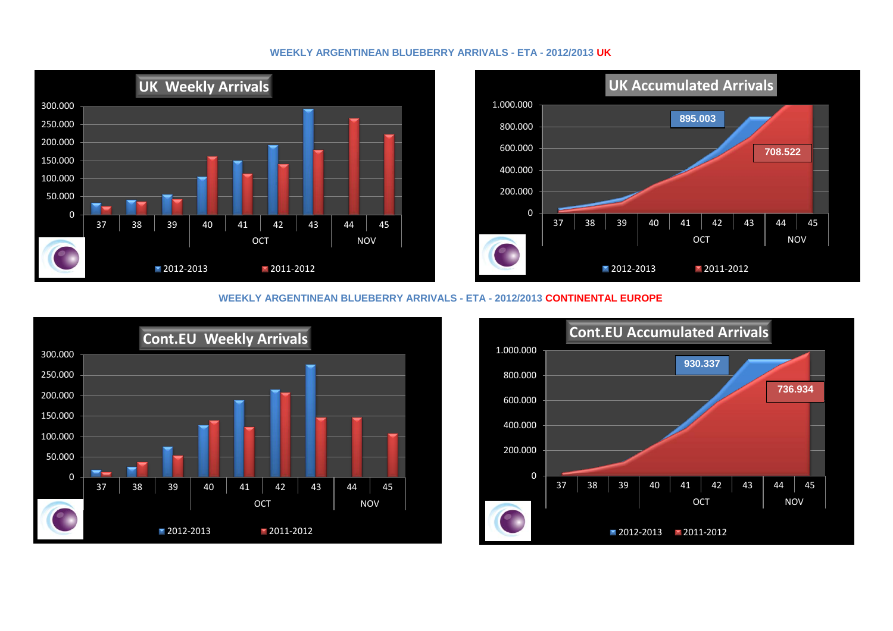#### **WEEKLY ARGENTINEAN BLUEBERRY ARRIVALS - ETA - 2012/2013 UK**



#### **WEEKLY ARGENTINEAN BLUEBERRY ARRIVALS - ETA - 2012/2013 CONTINENTAL EUROPE**